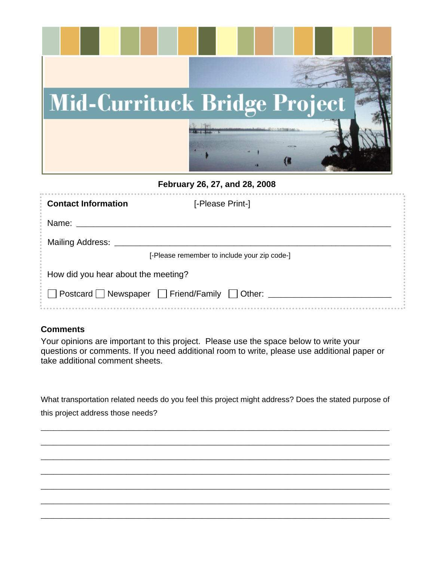

**February 26, 27, and 28, 2008** 

| <b>Contact Information</b>                            | [-Please Print-]                             |  |
|-------------------------------------------------------|----------------------------------------------|--|
| Name:                                                 |                                              |  |
| <b>Mailing Address:</b>                               |                                              |  |
|                                                       | [-Please remember to include your zip code-] |  |
| How did you hear about the meeting?                   |                                              |  |
| Postcard Newspaper $\Box$ Friend/Family $\Box$ Other: |                                              |  |

## **Comments**

Your opinions are important to this project. Please use the space below to write your questions or comments. If you need additional room to write, please use additional paper or take additional comment sheets.

What transportation related needs do you feel this project might address? Does the stated purpose of this project address those needs?

\_\_\_\_\_\_\_\_\_\_\_\_\_\_\_\_\_\_\_\_\_\_\_\_\_\_\_\_\_\_\_\_\_\_\_\_\_\_\_\_\_\_\_\_\_\_\_\_\_\_\_\_\_\_\_\_\_\_\_\_\_\_\_\_\_\_\_\_\_\_\_\_\_\_\_\_\_\_\_\_\_\_

\_\_\_\_\_\_\_\_\_\_\_\_\_\_\_\_\_\_\_\_\_\_\_\_\_\_\_\_\_\_\_\_\_\_\_\_\_\_\_\_\_\_\_\_\_\_\_\_\_\_\_\_\_\_\_\_\_\_\_\_\_\_\_\_\_\_\_\_\_\_\_\_\_\_\_\_\_\_\_\_\_\_

\_\_\_\_\_\_\_\_\_\_\_\_\_\_\_\_\_\_\_\_\_\_\_\_\_\_\_\_\_\_\_\_\_\_\_\_\_\_\_\_\_\_\_\_\_\_\_\_\_\_\_\_\_\_\_\_\_\_\_\_\_\_\_\_\_\_\_\_\_\_\_\_\_\_\_\_\_\_\_\_\_\_

\_\_\_\_\_\_\_\_\_\_\_\_\_\_\_\_\_\_\_\_\_\_\_\_\_\_\_\_\_\_\_\_\_\_\_\_\_\_\_\_\_\_\_\_\_\_\_\_\_\_\_\_\_\_\_\_\_\_\_\_\_\_\_\_\_\_\_\_\_\_\_\_\_\_\_\_\_\_\_\_\_\_

\_\_\_\_\_\_\_\_\_\_\_\_\_\_\_\_\_\_\_\_\_\_\_\_\_\_\_\_\_\_\_\_\_\_\_\_\_\_\_\_\_\_\_\_\_\_\_\_\_\_\_\_\_\_\_\_\_\_\_\_\_\_\_\_\_\_\_\_\_\_\_\_\_\_\_\_\_\_\_\_\_\_

\_\_\_\_\_\_\_\_\_\_\_\_\_\_\_\_\_\_\_\_\_\_\_\_\_\_\_\_\_\_\_\_\_\_\_\_\_\_\_\_\_\_\_\_\_\_\_\_\_\_\_\_\_\_\_\_\_\_\_\_\_\_\_\_\_\_\_\_\_\_\_\_\_\_\_\_\_\_\_\_\_\_

\_\_\_\_\_\_\_\_\_\_\_\_\_\_\_\_\_\_\_\_\_\_\_\_\_\_\_\_\_\_\_\_\_\_\_\_\_\_\_\_\_\_\_\_\_\_\_\_\_\_\_\_\_\_\_\_\_\_\_\_\_\_\_\_\_\_\_\_\_\_\_\_\_\_\_\_\_\_\_\_\_\_